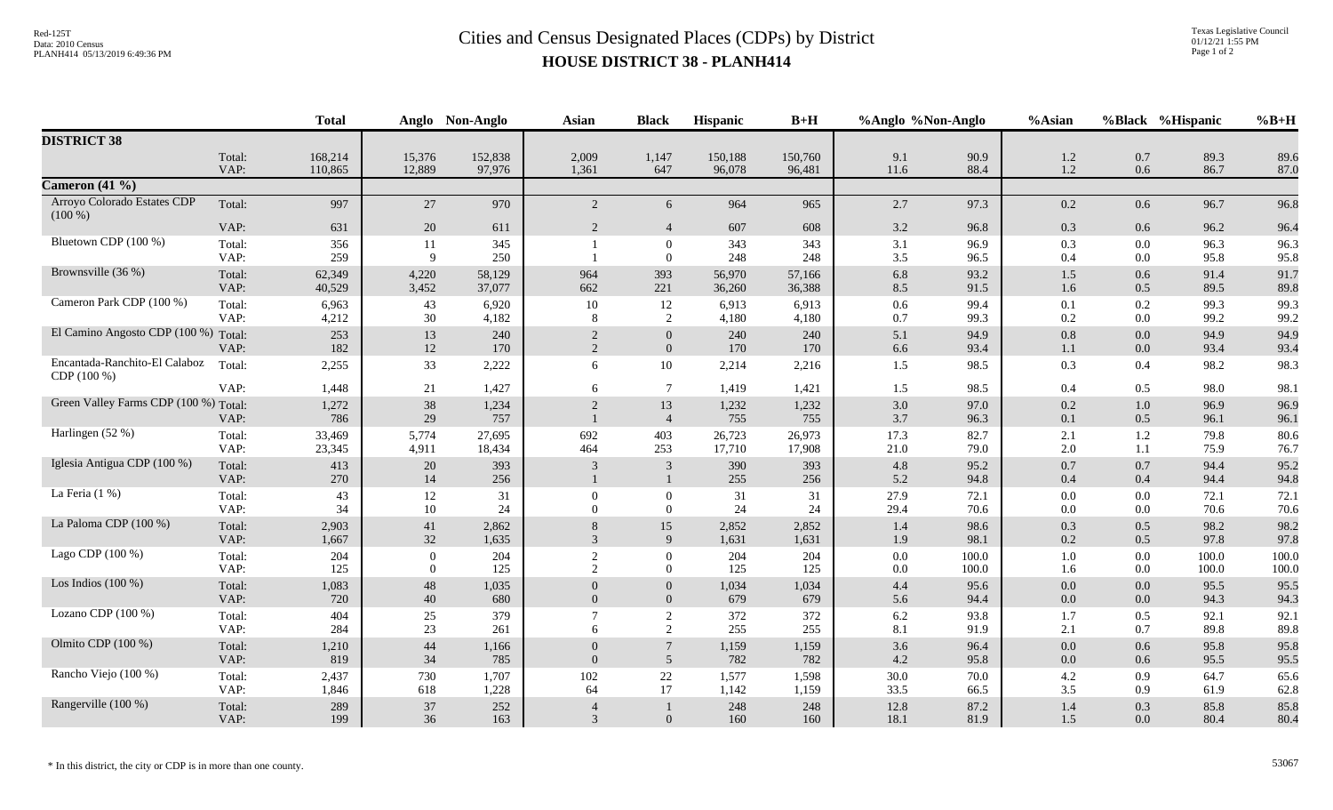## Red-125T<br>Data: 2010 Census<br>PLANH414 05/13/2019 6:49:36 PM<br>**Cities and Census Designated Places (CDPs)** by District **HOUSE DISTRICT 38 - PLANH414**

|                                       |                | <b>Total</b>       |                          | Anglo Non-Anglo   | <b>Asian</b>                 | <b>Black</b>                       | <b>Hispanic</b>   | $B+H$             | %Anglo %Non-Anglo |               | %Asian         |                | %Black %Hispanic | $%B+H$        |
|---------------------------------------|----------------|--------------------|--------------------------|-------------------|------------------------------|------------------------------------|-------------------|-------------------|-------------------|---------------|----------------|----------------|------------------|---------------|
| <b>DISTRICT 38</b>                    |                |                    |                          |                   |                              |                                    |                   |                   |                   |               |                |                |                  |               |
|                                       | Total:<br>VAP: | 168,214<br>110,865 | 15,376<br>12,889         | 152,838<br>97,976 | 2,009<br>1,361               | 1,147<br>647                       | 150,188<br>96,078 | 150,760<br>96,481 | 9.1<br>11.6       | 90.9<br>88.4  | 1.2<br>1.2     | 0.7<br>0.6     | 89.3<br>86.7     | 89.6<br>87.0  |
| Cameron $(41\%)$                      |                |                    |                          |                   |                              |                                    |                   |                   |                   |               |                |                |                  |               |
| Arroyo Colorado Estates CDP           | Total:         | 997                | 27                       | 970               | 2                            | 6                                  | 964               | 965               | 2.7               | 97.3          | 0.2            | 0.6            | 96.7             | 96.8          |
| $(100\%)$                             |                |                    |                          |                   |                              |                                    |                   |                   |                   |               |                |                |                  |               |
|                                       | VAP:           | 631                | $20\,$                   | 611               | $\overline{2}$               | $\overline{4}$                     | 607               | 608               | 3.2               | 96.8          | 0.3            | 0.6            | 96.2             | 96.4          |
| Bluetown CDP (100 %)                  | Total:<br>VAP: | 356<br>259         | 11<br>$\mathbf{Q}$       | 345<br>250        |                              | $\boldsymbol{0}$<br>$\overline{0}$ | 343<br>248        | 343<br>248        | 3.1<br>3.5        | 96.9<br>96.5  | 0.3<br>0.4     | 0.0<br>$0.0\,$ | 96.3<br>95.8     | 96.3<br>95.8  |
| Brownsville (36 %)                    | Total:         | 62,349             | 4,220                    | 58,129            | 964                          | 393                                | 56,970            | 57,166            | 6.8               | 93.2          | 1.5            | 0.6            | 91.4             | 91.7          |
|                                       | VAP:           | 40,529             | 3,452                    | 37,077            | 662                          | 221                                | 36,260            | 36,388            | 8.5               | 91.5          | 1.6            | 0.5            | 89.5             | 89.8          |
| Cameron Park CDP (100 %)              | Total:         | 6,963              | 43                       | 6,920             | 10                           | 12                                 | 6,913             | 6,913             | 0.6               | 99.4          | 0.1            | 0.2            | 99.3             | 99.3          |
|                                       | VAP:           | 4,212              | $30\,$                   | 4,182             | 8                            | 2                                  | 4,180             | 4,180             | 0.7               | 99.3          | 0.2            | $0.0\,$        | 99.2             | 99.2          |
| El Camino Angosto CDP (100 %) Total:  |                | 253                | 13                       | 240               | $\sqrt{2}$                   | $\boldsymbol{0}$                   | 240               | 240               | 5.1               | 94.9          | 0.8            | $0.0\,$        | 94.9             | 94.9          |
| Encantada-Ranchito-El Calaboz         | VAP:<br>Total: | 182                | 12<br>33                 | 170               | 2                            | $\overline{0}$                     | 170<br>2,214      | 170               | 6.6               | 93.4<br>98.5  | 1.1<br>0.3     | 0.0            | 93.4             | 93.4<br>98.3  |
| CDP (100 %)                           |                | 2,255              |                          | 2,222             | 6                            | 10                                 |                   | 2,216             | 1.5               |               |                | 0.4            | 98.2             |               |
|                                       | VAP:           | 1,448              | 21                       | 1,427             | 6                            | $\tau$                             | 1,419             | 1,421             | 1.5               | 98.5          | 0.4            | 0.5            | 98.0             | 98.1          |
| Green Valley Farms CDP (100 %) Total: |                | 1,272              | 38                       | 1,234             | 2                            | 13                                 | 1,232             | 1,232             | 3.0               | 97.0          | 0.2            | $1.0\,$        | 96.9             | 96.9          |
| Harlingen (52 %)                      | VAP:           | 786                | 29                       | 757               |                              | $\overline{4}$                     | 755               | 755               | 3.7               | 96.3          | 0.1            | 0.5            | 96.1             | 96.1          |
|                                       | Total:<br>VAP: | 33,469<br>23,345   | 5,774<br>4,911           | 27,695<br>18,434  | 692<br>464                   | 403<br>253                         | 26,723<br>17,710  | 26,973<br>17,908  | 17.3<br>21.0      | 82.7<br>79.0  | 2.1<br>$2.0\,$ | 1.2<br>1.1     | 79.8<br>75.9     | 80.6<br>76.7  |
| Iglesia Antigua CDP (100 %)           | Total:         | 413                | $20\,$                   | 393               | 3                            | 3                                  | 390               | 393               | 4.8               | 95.2          | 0.7            | 0.7            | 94.4             | 95.2          |
|                                       | VAP:           | 270                | 14                       | 256               |                              | $\mathbf{1}$                       | 255               | 256               | 5.2               | 94.8          | 0.4            | 0.4            | 94.4             | 94.8          |
| La Feria (1 %)                        | Total:         | 43                 | 12                       | 31                | $\theta$                     | $\theta$                           | 31                | 31                | 27.9              | 72.1          | 0.0            | 0.0            | 72.1             | 72.1          |
|                                       | VAP:           | 34                 | 10                       | 24                | $\Omega$                     | $\overline{0}$                     | 24                | 24                | 29.4              | 70.6          | 0.0            | 0.0            | 70.6             | 70.6          |
| La Paloma CDP (100 %)                 | Total:         | 2,903              | 41                       | 2,862             | 8                            | 15                                 | 2,852             | 2,852             | 1.4               | 98.6          | 0.3            | 0.5            | 98.2             | 98.2          |
| Lago CDP (100 %)                      | VAP:           | 1,667<br>204       | 32                       | 1,635<br>204      | $\mathfrak{Z}$               | 9                                  | 1,631<br>204      | 1,631<br>204      | 1.9<br>0.0        | 98.1<br>100.0 | 0.2            | 0.5<br>0.0     | 97.8<br>100.0    | 97.8<br>100.0 |
|                                       | Total:<br>VAP: | 125                | $\mathbf{0}$<br>$\theta$ | 125               | $\sqrt{2}$<br>$\overline{2}$ | $\mathbf{0}$<br>$\Omega$           | 125               | 125               | 0.0               | 100.0         | $1.0\,$<br>1.6 | $0.0\,$        | 100.0            | 100.0         |
| Los Indios $(100\%)$                  | Total:         | 1,083              | 48                       | 1,035             |                              | $\overline{0}$                     | 1,034             | 1,034             | 4.4               | 95.6          | 0.0            | 0.0            | 95.5             | 95.5          |
|                                       | VAP:           | 720                | 40                       | 680               | $\overline{0}$               | $\overline{0}$                     | 679               | 679               | 5.6               | 94.4          | 0.0            | 0.0            | 94.3             | 94.3          |
| Lozano CDP (100 %)                    | Total:         | 404                | 25                       | 379               | $\tau$                       | 2                                  | 372               | 372               | 6.2               | 93.8          | 1.7            | 0.5            | 92.1             | 92.1          |
|                                       | VAP:           | 284                | 23                       | 261               | 6                            | 2                                  | 255               | 255               | 8.1               | 91.9          | 2.1            | 0.7            | 89.8             | 89.8          |
| Olmito CDP (100 %)                    | Total:<br>VAP: | 1,210<br>819       | 44                       | 1,166             | $\Omega$<br>$\Omega$         | $7\phantom{.0}$<br>5               | 1,159<br>782      | 1,159             | 3.6               | 96.4          | 0.0            | 0.6            | 95.8<br>95.5     | 95.8          |
| Rancho Viejo (100 %)                  | Total:         |                    | 34                       | 785               |                              |                                    |                   | 782               | 4.2<br>30.0       | 95.8          | 0.0            | 0.6            | 64.7             | 95.5          |
|                                       | VAP:           | 2,437<br>1,846     | 730<br>618               | 1,707<br>1,228    | 102<br>64                    | 22<br>17                           | 1,577<br>1,142    | 1,598<br>1,159    | 33.5              | 70.0<br>66.5  | 4.2<br>3.5     | 0.9<br>0.9     | 61.9             | 65.6<br>62.8  |
| Rangerville (100 %)                   | Total:         | 289                | 37                       | 252               | $\overline{4}$               |                                    | 248               | 248               | 12.8              | 87.2          | 1.4            | 0.3            | 85.8             | 85.8          |
|                                       | VAP:           | 199                | 36                       | 163               | $\mathfrak{Z}$               | $\overline{0}$                     | 160               | 160               | 18.1              | 81.9          | 1.5            | $0.0\,$        | 80.4             | 80.4          |